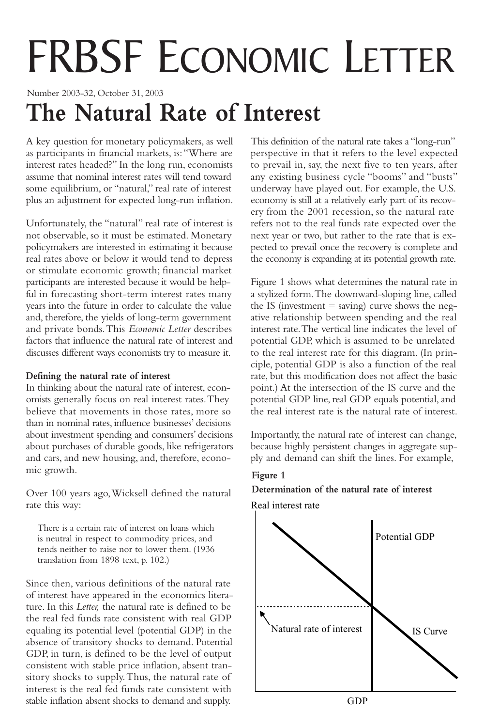# FRBSF ECONOMIC LETTER

Number 2003-32, October 31, 2003

# **The Natural Rate of Interest**

A key question for monetary policymakers, as well as participants in financial markets, is:"Where are interest rates headed?" In the long run, economists assume that nominal interest rates will tend toward some equilibrium, or "natural," real rate of interest plus an adjustment for expected long-run inflation.

Unfortunately, the "natural" real rate of interest is not observable, so it must be estimated. Monetary policymakers are interested in estimating it because real rates above or below it would tend to depress or stimulate economic growth; financial market participants are interested because it would be helpful in forecasting short-term interest rates many years into the future in order to calculate the value and, therefore, the yields of long-term government and private bonds.This *Economic Letter* describes factors that influence the natural rate of interest and discusses different ways economists try to measure it.

#### **Defining the natural rate of interest**

In thinking about the natural rate of interest, economists generally focus on real interest rates.They believe that movements in those rates, more so than in nominal rates, influence businesses' decisions about investment spending and consumers' decisions about purchases of durable goods, like refrigerators and cars, and new housing, and, therefore, economic growth.

Over 100 years ago,Wicksell defined the natural rate this way:

There is a certain rate of interest on loans which is neutral in respect to commodity prices, and tends neither to raise nor to lower them. (1936 translation from 1898 text, p. 102.)

Since then, various definitions of the natural rate of interest have appeared in the economics literature. In this *Letter,* the natural rate is defined to be the real fed funds rate consistent with real GDP equaling its potential level (potential GDP) in the absence of transitory shocks to demand. Potential GDP, in turn, is defined to be the level of output consistent with stable price inflation, absent transitory shocks to supply.Thus, the natural rate of interest is the real fed funds rate consistent with stable inflation absent shocks to demand and supply.

This definition of the natural rate takes a "long-run" perspective in that it refers to the level expected to prevail in, say, the next five to ten years, after any existing business cycle "booms" and "busts" underway have played out. For example, the U.S. economy is still at a relatively early part of its recovery from the 2001 recession, so the natural rate refers not to the real funds rate expected over the next year or two, but rather to the rate that is expected to prevail once the recovery is complete and the economy is expanding at its potential growth rate.

Figure 1 shows what determines the natural rate in a stylized form.The downward-sloping line, called the IS (investment  $=$  saving) curve shows the negative relationship between spending and the real interest rate.The vertical line indicates the level of potential GDP, which is assumed to be unrelated to the real interest rate for this diagram. (In principle, potential GDP is also a function of the real rate, but this modification does not affect the basic point.) At the intersection of the IS curve and the potential GDP line, real GDP equals potential, and the real interest rate is the natural rate of interest.

Importantly, the natural rate of interest can change, because highly persistent changes in aggregate supply and demand can shift the lines. For example,

# **Figure 1 Determination of the natural rate of interest**

Real interest rate

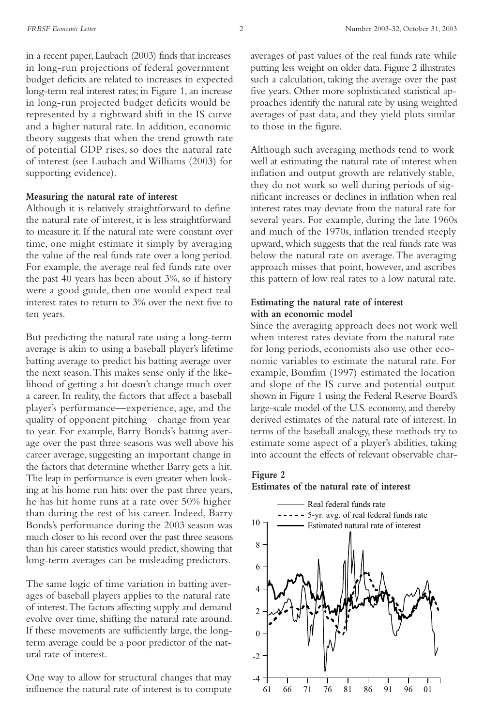in a recent paper, Laubach (2003) finds that increases in long-run projections of federal government budget deficits are related to increases in expected long-term real interest rates; in Figure 1, an increase in long-run projected budget deficits would be represented by a rightward shift in the IS curve and a higher natural rate. In addition, economic theory suggests that when the trend growth rate of potential GDP rises, so does the natural rate of interest (see Laubach and Williams (2003) for supporting evidence).

#### **Measuring the natural rate of interest**

Although it is relatively straightforward to define the natural rate of interest, it is less straightforward to measure it. If the natural rate were constant over time, one might estimate it simply by averaging the value of the real funds rate over a long period. For example, the average real fed funds rate over the past 40 years has been about 3%, so if history were a good guide, then one would expect real interest rates to return to 3% over the next five to ten years.

But predicting the natural rate using a long-term average is akin to using a baseball player's lifetime batting average to predict his batting average over the next season.This makes sense only if the likelihood of getting a hit doesn't change much over a career. In reality, the factors that affect a baseball player's performance—experience, age, and the quality of opponent pitching—change from year to year. For example, Barry Bonds's batting average over the past three seasons was well above his career average, suggesting an important change in the factors that determine whether Barry gets a hit. The leap in performance is even greater when looking at his home run hits: over the past three years, he has hit home runs at a rate over 50% higher than during the rest of his career. Indeed, Barry Bonds's performance during the 2003 season was much closer to his record over the past three seasons than his career statistics would predict, showing that long-term averages can be misleading predictors.

The same logic of time variation in batting averages of baseball players applies to the natural rate of interest.The factors affecting supply and demand evolve over time, shifting the natural rate around. If these movements are sufficiently large, the longterm average could be a poor predictor of the natural rate of interest.

One way to allow for structural changes that may influence the natural rate of interest is to compute averages of past values of the real funds rate while putting less weight on older data. Figure 2 illustrates such a calculation, taking the average over the past five years. Other more sophisticated statistical approaches identify the natural rate by using weighted averages of past data, and they yield plots similar to those in the figure.

Although such averaging methods tend to work well at estimating the natural rate of interest when inflation and output growth are relatively stable, they do not work so well during periods of significant increases or declines in inflation when real interest rates may deviate from the natural rate for several years. For example, during the late 1960s and much of the 1970s, inflation trended steeply upward, which suggests that the real funds rate was below the natural rate on average.The averaging approach misses that point, however, and ascribes this pattern of low real rates to a low natural rate.

### **Estimating the natural rate of interest with an economic model**

Since the averaging approach does not work well when interest rates deviate from the natural rate for long periods, economists also use other economic variables to estimate the natural rate. For example, Bomfim (1997) estimated the location and slope of the IS curve and potential output shown in Figure 1 using the Federal Reserve Board's large-scale model of the U.S. economy, and thereby derived estimates of the natural rate of interest. In terms of the baseball analogy, these methods try to estimate some aspect of a player's abilities, taking into account the effects of relevant observable char-

#### **Figure 2 Estimates of the natural rate of interest**

## 10 - Real federal funds rate 5-yr. avg. of real federal funds rate Estimated natural rate of interest

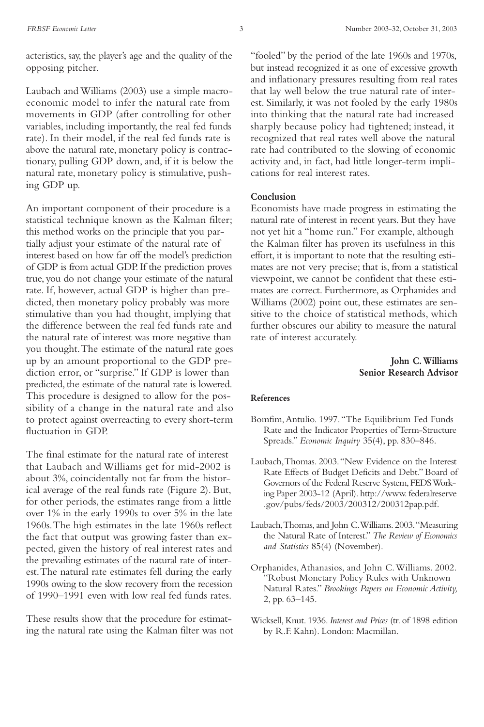acteristics, say, the player's age and the quality of the opposing pitcher.

Laubach and Williams (2003) use a simple macroeconomic model to infer the natural rate from movements in GDP (after controlling for other variables, including importantly, the real fed funds rate). In their model, if the real fed funds rate is above the natural rate, monetary policy is contractionary, pulling GDP down, and, if it is below the natural rate, monetary policy is stimulative, pushing GDP up.

An important component of their procedure is a statistical technique known as the Kalman filter; this method works on the principle that you partially adjust your estimate of the natural rate of interest based on how far off the model's prediction of GDP is from actual GDP. If the prediction proves true, you do not change your estimate of the natural rate. If, however, actual GDP is higher than predicted, then monetary policy probably was more stimulative than you had thought, implying that the difference between the real fed funds rate and the natural rate of interest was more negative than you thought.The estimate of the natural rate goes up by an amount proportional to the GDP prediction error, or "surprise." If GDP is lower than predicted, the estimate of the natural rate is lowered. This procedure is designed to allow for the possibility of a change in the natural rate and also to protect against overreacting to every short-term fluctuation in GDP.

The final estimate for the natural rate of interest that Laubach and Williams get for mid-2002 is about 3%, coincidentally not far from the historical average of the real funds rate (Figure 2). But, for other periods, the estimates range from a little over 1% in the early 1990s to over 5% in the late 1960s.The high estimates in the late 1960s reflect the fact that output was growing faster than expected, given the history of real interest rates and the prevailing estimates of the natural rate of interest.The natural rate estimates fell during the early 1990s owing to the slow recovery from the recession of 1990–1991 even with low real fed funds rates.

These results show that the procedure for estimating the natural rate using the Kalman filter was not

"fooled" by the period of the late 1960s and 1970s, but instead recognized it as one of excessive growth and inflationary pressures resulting from real rates that lay well below the true natural rate of interest. Similarly, it was not fooled by the early 1980s into thinking that the natural rate had increased sharply because policy had tightened; instead, it recognized that real rates well above the natural rate had contributed to the slowing of economic activity and, in fact, had little longer-term implications for real interest rates.

#### **Conclusion**

Economists have made progress in estimating the natural rate of interest in recent years. But they have not yet hit a "home run." For example, although the Kalman filter has proven its usefulness in this effort, it is important to note that the resulting estimates are not very precise; that is, from a statistical viewpoint, we cannot be confident that these estimates are correct. Furthermore, as Orphanides and Williams (2002) point out, these estimates are sensitive to the choice of statistical methods, which further obscures our ability to measure the natural rate of interest accurately.

#### **John C.Williams Senior Research Advisor**

#### **References**

- Bomfim,Antulio. 1997."The Equilibrium Fed Funds Rate and the Indicator Properties of Term-Structure Spreads." *Economic Inquiry* 35(4), pp. 830–846.
- Laubach,Thomas. 2003."New Evidence on the Interest Rate Effects of Budget Deficits and Debt." Board of Governors of the Federal Reserve System, FEDS Working Paper 2003-12 (April). http://www. federalreserve .gov/pubs/feds/2003/200312/200312pap.pdf.
- Laubach,Thomas, and John C.Williams. 2003."Measuring the Natural Rate of Interest." *The Review of Economics and Statistics* 85(4) (November).
- Orphanides, Athanasios, and John C.Williams. 2002. "Robust Monetary Policy Rules with Unknown Natural Rates." *Brookings Papers on Economic Activity,* 2, pp. 63–145.
- Wicksell, Knut. 1936.*Interest and Prices* (tr. of 1898 edition by R.F. Kahn). London: Macmillan.